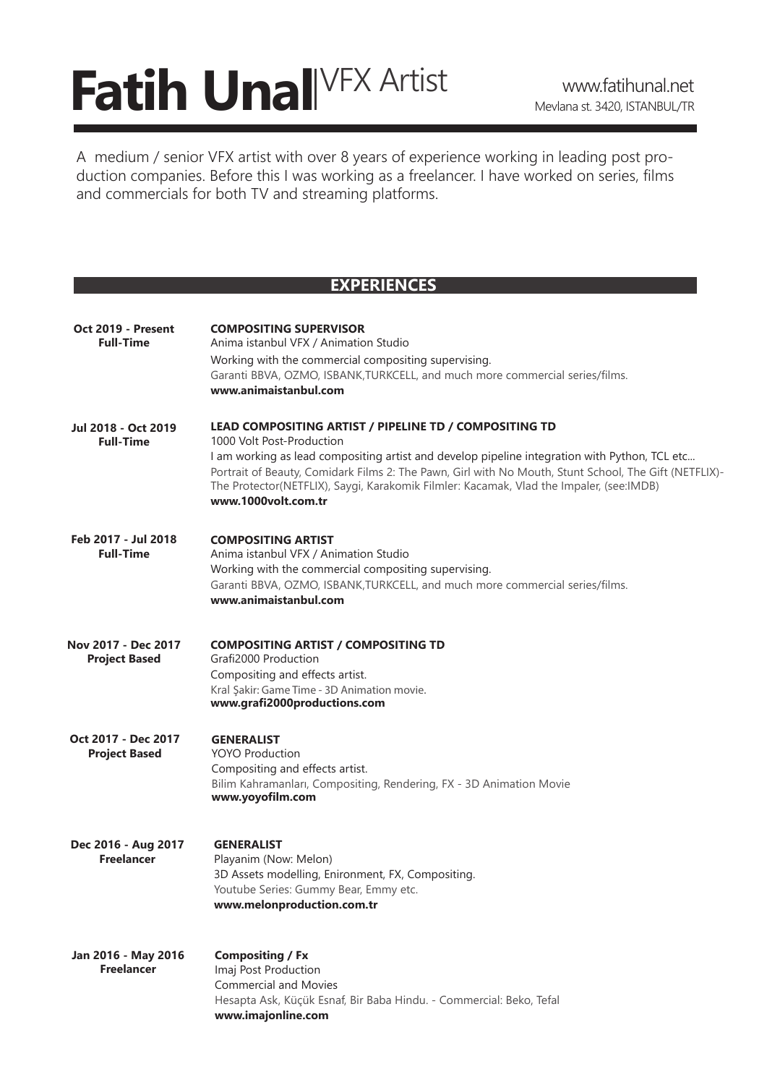# **Fatih Unal** VFX Artist www.fatihunal.net

A medium / senior VFX artist with over 8 years of experience working in leading post production companies. Before this I was working as a freelancer. I have worked on series, films and commercials for both TV and streaming platforms.

### **EXPERIENCES**

| Oct 2019 - Present<br><b>Full-Time</b>      | <b>COMPOSITING SUPERVISOR</b><br>Anima istanbul VFX / Animation Studio<br>Working with the commercial compositing supervising.<br>Garanti BBVA, OZMO, ISBANK, TURKCELL, and much more commercial series/films.<br>www.animaistanbul.com                                                                                                                                                                         |
|---------------------------------------------|-----------------------------------------------------------------------------------------------------------------------------------------------------------------------------------------------------------------------------------------------------------------------------------------------------------------------------------------------------------------------------------------------------------------|
| Jul 2018 - Oct 2019<br><b>Full-Time</b>     | LEAD COMPOSITING ARTIST / PIPELINE TD / COMPOSITING TD<br>1000 Volt Post-Production<br>I am working as lead compositing artist and develop pipeline integration with Python, TCL etc<br>Portrait of Beauty, Comidark Films 2: The Pawn, Girl with No Mouth, Stunt School, The Gift (NETFLIX)-<br>The Protector(NETFLIX), Saygi, Karakomik Filmler: Kacamak, Vlad the Impaler, (see:IMDB)<br>www.1000volt.com.tr |
| Feb 2017 - Jul 2018<br><b>Full-Time</b>     | <b>COMPOSITING ARTIST</b><br>Anima istanbul VFX / Animation Studio<br>Working with the commercial compositing supervising.<br>Garanti BBVA, OZMO, ISBANK, TURKCELL, and much more commercial series/films.<br>www.animaistanbul.com                                                                                                                                                                             |
| Nov 2017 - Dec 2017<br><b>Project Based</b> | <b>COMPOSITING ARTIST / COMPOSITING TD</b><br>Grafi2000 Production<br>Compositing and effects artist.<br>Kral Şakir: Game Time - 3D Animation movie.<br>www.grafi2000productions.com                                                                                                                                                                                                                            |
| Oct 2017 - Dec 2017<br><b>Project Based</b> | <b>GENERALIST</b><br><b>YOYO Production</b><br>Compositing and effects artist.<br>Bilim Kahramanları, Compositing, Rendering, FX - 3D Animation Movie<br>www.yoyofilm.com                                                                                                                                                                                                                                       |
| Dec 2016 - Aug 2017<br><b>Freelancer</b>    | <b>GENERALIST</b><br>Playanim (Now: Melon)<br>3D Assets modelling, Enironment, FX, Compositing.<br>Youtube Series: Gummy Bear, Emmy etc.<br>www.melonproduction.com.tr                                                                                                                                                                                                                                          |
| Jan 2016 - May 2016<br><b>Freelancer</b>    | <b>Compositing / Fx</b><br>Imaj Post Production<br><b>Commercial and Movies</b><br>Hesapta Ask, Küçük Esnaf, Bir Baba Hindu. - Commercial: Beko, Tefal<br>www.imajonline.com                                                                                                                                                                                                                                    |